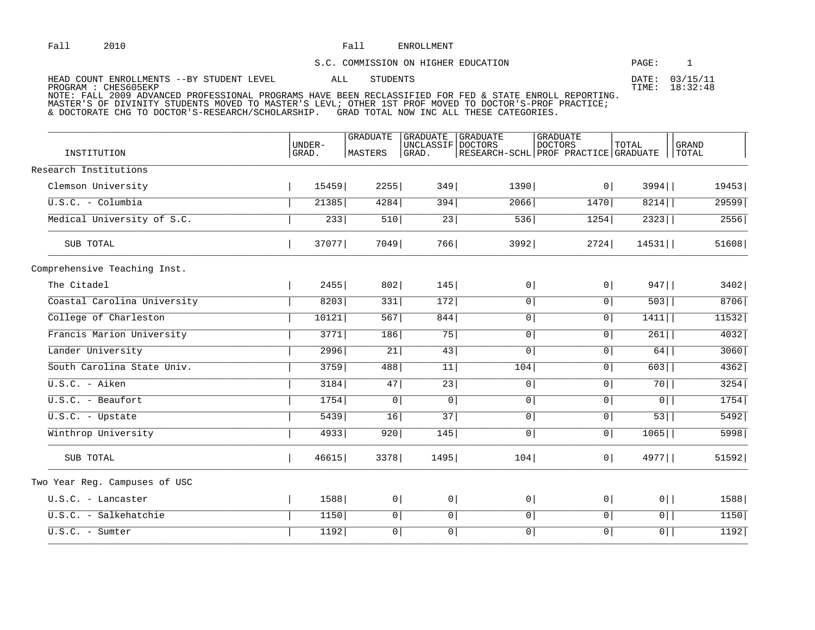## Fall 2010 2010 **Fall ENROLLMENT**

## S.C. COMMISSION ON HIGHER EDUCATION **EXAMPLE 1**

| HEAD COUNT ENROLLMENTS --BY STUDENT LEVEL                                                                      | STUDENTS | DATE: 03/15/11 |
|----------------------------------------------------------------------------------------------------------------|----------|----------------|
| PROGRAM : CHES605EKP                                                                                           |          | TIME: 18:32:48 |
| NOTE: FALL 2009 ADVANCED PROFESSIONAL PROGRAMS HAVE BEEN RECLASSIFIED FOR FED & STATE ENROLL REPORTING.        |          |                |
| : אחדיקאפס הארזוודות הא פי קוויר הארצו הארצו הארצו המוכנים והיו המוכנים הארצו הארצו הארצו הארצו הארצו הארצו הא |          |                |

MASTER'S OF DIVINITY STUDENTS MOVED TO MASTER'S LEVL; OTHER 1ST PROF MOVED TO DOCTOR'S-PROF PRACTICE; & DOCTORATE CHG TO DOCTOR'S-RESEARCH/SCHOLARSHIP. GRAD TOTAL NOW INC ALL THESE CATEGORIES.

| INSTITUTION                    | IJNDER-<br>GRAD. | <b>GRADUATE</b><br>MASTERS | <b>GRADUATE</b><br>UNCLASSIF<br>GRAD. | <b>GRADUATE</b><br>DOCTORS<br>RESEARCH-SCHL PROF PRACTICE GRADUATE | <b>GRADUATE</b><br><b>DOCTORS</b> | TOTAL            | <b>GRAND</b><br>TOTAL |
|--------------------------------|------------------|----------------------------|---------------------------------------|--------------------------------------------------------------------|-----------------------------------|------------------|-----------------------|
| Research Institutions          |                  |                            |                                       |                                                                    |                                   |                  |                       |
| Clemson University             | 15459            | 2255                       | 349                                   | 1390                                                               | 0                                 | $3994$           | 19453                 |
| $\overline{U.S.C.}$ - Columbia | 21385            | 4284                       | 394                                   | 2066                                                               | $1470$                            | 8214             | 29599                 |
| Medical University of S.C.     | 233              | 510                        | $\overline{23}$                       | 536                                                                | 1254                              | 2323             | 2556                  |
| SUB TOTAL                      | 37077            | 7049                       | 766                                   | 3992                                                               | 2724                              | $14531$          | 51608                 |
| Comprehensive Teaching Inst.   |                  |                            |                                       |                                                                    |                                   |                  |                       |
| The Citadel                    | 2455             | 802                        | 145                                   | 0                                                                  | 0                                 | $947$            | 3402                  |
| Coastal Carolina University    | 8203             | 331                        | 172                                   | $\overline{0}$                                                     | $\overline{0}$                    | 503              | $8706$                |
| College of Charleston          | 10121            | 567                        | 844                                   | $\overline{0}$                                                     | $\overline{0}$                    | 1411             | 11532                 |
| Francis Marion University      | 3771             | $\frac{186}{ }$            | 75                                    | $\overline{0}$                                                     | $\overline{0}$                    | $\overline{261}$ | 4032                  |
| Lander University              | 2996             | $\overline{21}$            | 43                                    | $\boxed{0}$                                                        | $\overline{0}$                    | 64               | 3060                  |
| South Carolina State Univ.     | 3759             | 488                        | 11                                    | $\overline{104}$                                                   | $\overline{0}$                    | 603              | 4362                  |
| $U.S.C. - Aiken$               | 3184             | 47                         | $\overline{23}$                       | $\overline{0}$                                                     | $\overline{0}$                    | 70               | 3254                  |
| $\overline{U.S.C.}$ - Beaufort | 1754             | $\overline{0}$             | $\boxed{0}$                           | $\boxed{0}$                                                        | $\overline{0}$                    | $\overline{0}$   | 1754                  |
| $U.S.C.$ - Upstate             | 5439             | 16                         | 37                                    | $\overline{0}$                                                     | $\overline{0}$                    | $\overline{53}$  | $5492$                |
| Winthrop University            | 4933             | 920                        | 145                                   | $\overline{0}$                                                     | $\overline{0}$                    | $1065$           | 5998                  |
| SUB TOTAL                      | 46615            | 3378                       | 1495                                  | 104                                                                | 0                                 | 4977             | 51592                 |
| Two Year Reg. Campuses of USC  |                  |                            |                                       |                                                                    |                                   |                  |                       |
| U.S.C. - Lancaster             | 1588             | 0                          | 0                                     | 0                                                                  | 0                                 | $0$              | 1588                  |
| U.S.C. - Salkehatchie          | 1150             | $\overline{0}$             | $\overline{0}$                        | $\boxed{0}$                                                        | $\overline{0}$                    | $\overline{0}$   | $1150$                |
| $U.S.C.$ - Sumter              | 1192             | 0 <sup>1</sup>             | $\overline{0}$                        | $\boxed{0}$                                                        | $\overline{0}$                    | $\overline{0}$   | 1192                  |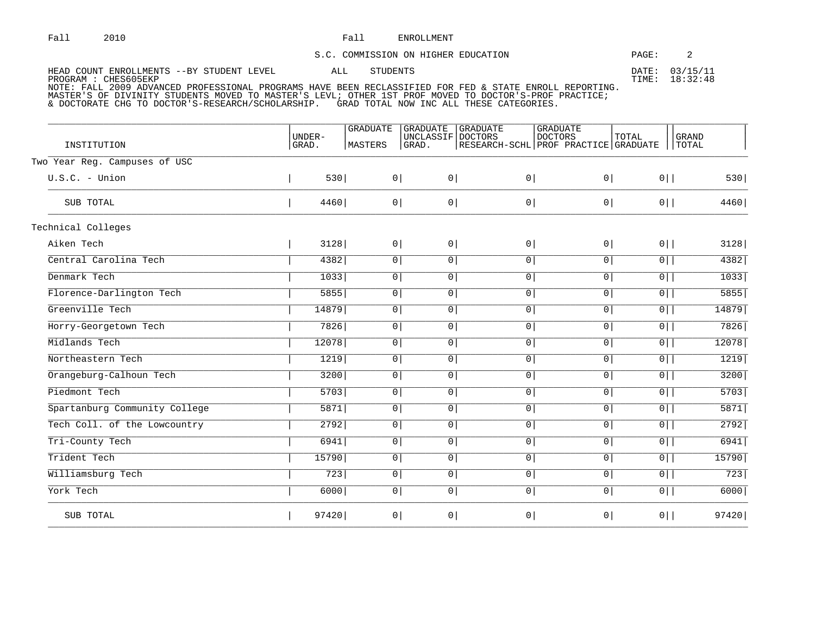## Fall ENROLLMENT

| S.C. COMMISSION ON HIGHER EDUCATION                                                                     | PAGE: |                            |
|---------------------------------------------------------------------------------------------------------|-------|----------------------------|
| HEAD COUNT ENROLLMENTS --BY STUDENT LEVEL<br>STUDENTS<br>ALL<br>PROGRAM : CHES605EKP                    | TTME: | DATE: 03/15/11<br>18:32:48 |
| NOTE: FALL 2009 ADVANCED PROFESSIONAL PROGRAMS HAVE BEEN RECLASSIFIED FOR FED & STATE ENROLL REPORTING. |       |                            |

MASTER'S OF DIVINITY STUDENTS MOVED TO MASTER'S LEVL; OTHER 1ST PROF MOVED TO DOCTOR'S-PROF PRACTICE;

& DOCTORATE CHG TO DOCTOR'S-RESEARCH/SCHOLARSHIP. GRAD TOTAL NOW INC ALL THESE CATEGORIES.

|                               |                        | <b>GRADUATE</b> | <b>GRADUATE</b>            | <b>GRADUATE</b>                      | <b>GRADUATE</b> |                |                       |
|-------------------------------|------------------------|-----------------|----------------------------|--------------------------------------|-----------------|----------------|-----------------------|
| INSTITUTION                   | <b>UNDER-</b><br>GRAD. | MASTERS         | UNCLASSIF DOCTORS<br>GRAD. | RESEARCH-SCHL PROF PRACTICE GRADUATE | <b>DOCTORS</b>  | TOTAL          | <b>GRAND</b><br>TOTAL |
| Two Year Reg. Campuses of USC |                        |                 |                            |                                      |                 |                |                       |
| $U.S.C.$ - Union              | 530                    | 0               | 0 <sup>1</sup>             | 0 <sup>1</sup>                       | 0               | $0$            | 530                   |
| SUB TOTAL                     | 4460                   | $0 \mid$        | 0                          | 0 <sup>1</sup>                       | 0               | $0$            | 4460                  |
| Technical Colleges            |                        |                 |                            |                                      |                 |                |                       |
| Aiken Tech                    | 3128                   | 0               | 0 <sup>1</sup>             | 0 <sup>1</sup>                       | 0               | $0$            | 3128                  |
| Central Carolina Tech         | 4382                   | 0               | $\circ$                    | 0 <sup>1</sup>                       | $\overline{0}$  | $0$            | 4382                  |
| Denmark Tech                  | 1033                   | $\overline{0}$  | 0 <sup>1</sup>             | 0 <sup>1</sup>                       | $\overline{0}$  | $\overline{0}$ | 1033                  |
| Florence-Darlington Tech      | 5855                   | $\overline{0}$  | 0 <sup>1</sup>             | 0 <sup>1</sup>                       | $\boxed{0}$     | $\overline{0}$ | 5855                  |
| Greenville Tech               | 14879                  | $\overline{0}$  | 0 <sup>1</sup>             | 0 <sup>1</sup>                       | $\overline{0}$  | $\overline{0}$ | 14879                 |
| Horry-Georgetown Tech         | 7826                   | $\overline{0}$  | 0 <sup>1</sup>             | $\overline{0}$                       | $\boxed{0}$     | $\overline{0}$ | $7826$                |
| Midlands Tech                 | 12078                  | $\overline{0}$  | 0 <sup>1</sup>             | 0 <sup>1</sup>                       | $\overline{0}$  | $\overline{0}$ | 12078                 |
| Northeastern Tech             | 1219                   | $\overline{0}$  | 0 <sup>1</sup>             | 0 <sup>1</sup>                       | $\overline{0}$  | $\overline{0}$ | 1219                  |
| Orangeburg-Calhoun Tech       | 3200                   | $\overline{0}$  | 0                          | 0 <sup>1</sup>                       | $\overline{0}$  | $\overline{0}$ | 3200                  |
| Piedmont Tech                 | 5703                   | $\overline{0}$  | 0 <sup>1</sup>             | $\overline{0}$                       | $\boxed{0}$     | $\overline{0}$ | 5703                  |
| Spartanburg Community College | 5871                   | $\overline{0}$  | 0 <sup>1</sup>             | 0 <sup>1</sup>                       | $\overline{0}$  | $\overline{0}$ | 5871                  |
| Tech Coll. of the Lowcountry  | 2792                   | $\boxed{0}$     | 0 <sup>1</sup>             | 0 <sup>1</sup>                       | $\boxed{0}$     | $\overline{0}$ | 2792                  |
| Tri-County Tech               | 6941                   | $\overline{0}$  | 0 <sup>1</sup>             | 0 <sup>1</sup>                       | $\overline{0}$  | $\overline{0}$ | 6941                  |
| Trident Tech                  | 15790                  | $\overline{0}$  | 0 <sup>1</sup>             | 0 <sup>1</sup>                       | $\overline{0}$  | $\overline{0}$ | 15790                 |
| Williamsburg Tech             | 723                    | $\boxed{0}$     | 0 <sup>1</sup>             | 0 <sup>1</sup>                       | $\overline{0}$  | $\overline{0}$ | 723                   |
| York Tech                     | 6000                   | $\overline{0}$  | 0                          | 0                                    | $\boxed{0}$     | $\overline{0}$ | 6000                  |
| SUB TOTAL                     | 97420                  | 0               | 0                          | 0 <sup>1</sup>                       | 0 <sup>1</sup>  | $0$            | 97420                 |